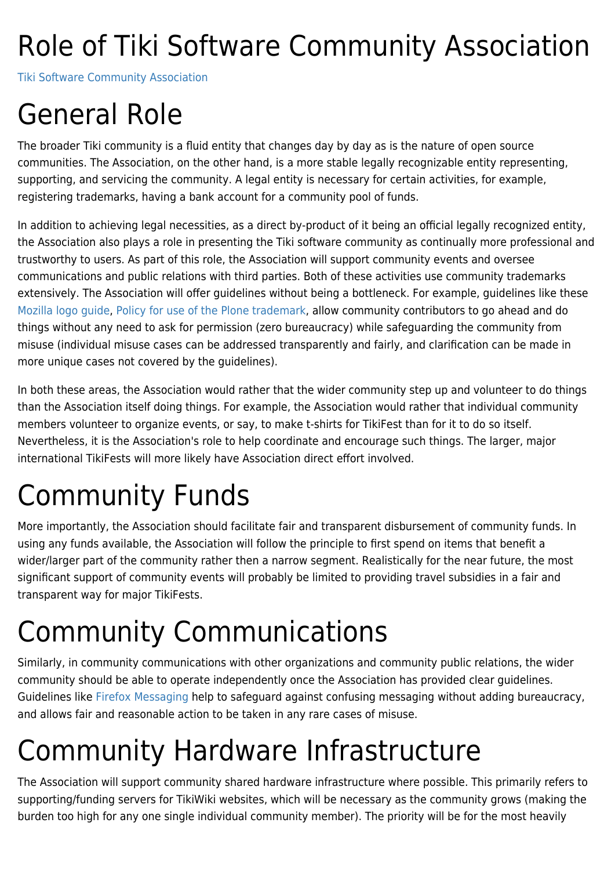## Role of Tiki Software Community Association

[Tiki Software Community Association](https://tiki.org/Tiki-Software-Community-Association)

#### General Role

The broader Tiki community is a fluid entity that changes day by day as is the nature of open source communities. The Association, on the other hand, is a more stable legally recognizable entity representing, supporting, and servicing the community. A legal entity is necessary for certain activities, for example, registering trademarks, having a bank account for a community pool of funds.

In addition to achieving legal necessities, as a direct by-product of it being an official legally recognized entity, the Association also plays a role in presenting the Tiki software community as continually more professional and trustworthy to users. As part of this role, the Association will support community events and oversee communications and public relations with third parties. Both of these activities use community trademarks extensively. The Association will offer guidelines without being a bottleneck. For example, guidelines like these [Mozilla logo guide](http://www.mozilla.com/en-US/about/logo/), [Policy for use of the Plone trademark](http://plone.org/foundation/committees/ip/policy), allow community contributors to go ahead and do things without any need to ask for permission (zero bureaucracy) while safeguarding the community from misuse (individual misuse cases can be addressed transparently and fairly, and clarification can be made in more unique cases not covered by the guidelines).

In both these areas, the Association would rather that the wider community step up and volunteer to do things than the Association itself doing things. For example, the Association would rather that individual community members volunteer to organize events, or say, to make t-shirts for TikiFest than for it to do so itself. Nevertheless, it is the Association's role to help coordinate and encourage such things. The larger, major international TikiFests will more likely have Association direct effort involved.

## Community Funds

More importantly, the Association should facilitate fair and transparent disbursement of community funds. In using any funds available, the Association will follow the principle to first spend on items that benefit a wider/larger part of the community rather then a narrow segment. Realistically for the near future, the most significant support of community events will probably be limited to providing travel subsidies in a fair and transparent way for major TikiFests.

## Community Communications

Similarly, in community communications with other organizations and community public relations, the wider community should be able to operate independently once the Association has provided clear guidelines. Guidelines like [Firefox Messaging](http://www.spreadfirefox.com/node/237) help to safeguard against confusing messaging without adding bureaucracy, and allows fair and reasonable action to be taken in any rare cases of misuse.

## Community Hardware Infrastructure

The Association will support community shared hardware infrastructure where possible. This primarily refers to supporting/funding servers for TikiWiki websites, which will be necessary as the community grows (making the burden too high for any one single individual community member). The priority will be for the most heavily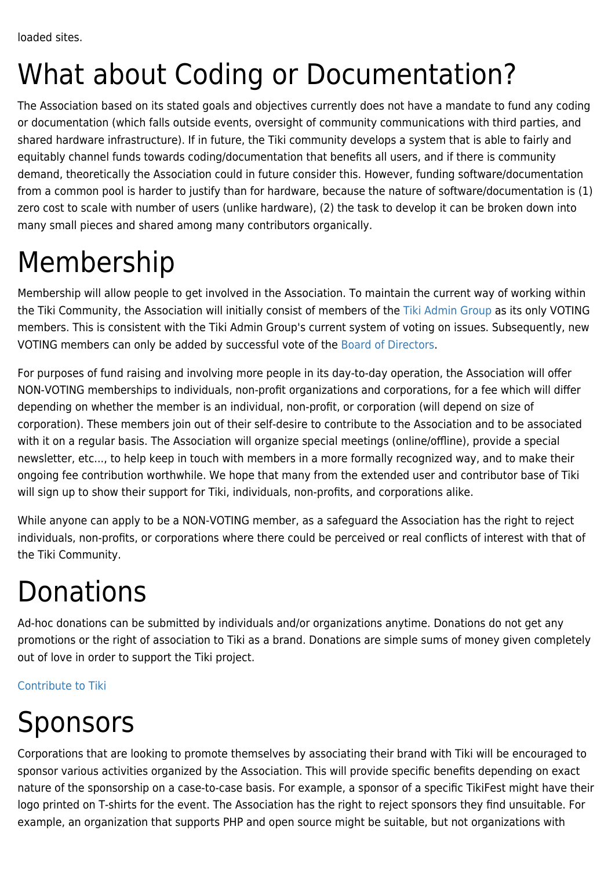## What about Coding or Documentation?

The Association based on its stated goals and objectives currently does not have a mandate to fund any coding or documentation (which falls outside events, oversight of community communications with third parties, and shared hardware infrastructure). If in future, the Tiki community develops a system that is able to fairly and equitably channel funds towards coding/documentation that benefits all users, and if there is community demand, theoretically the Association could in future consider this. However, funding software/documentation from a common pool is harder to justify than for hardware, because the nature of software/documentation is (1) zero cost to scale with number of users (unlike hardware), (2) the task to develop it can be broken down into many small pieces and shared among many contributors organically.

## Membership

Membership will allow people to get involved in the Association. To maintain the current way of working within the Tiki Community, the Association will initially consist of members of the [Tiki Admin Group](https://tiki.org/WhoWhat#Project_Administrators) as its only VOTING members. This is consistent with the Tiki Admin Group's current system of voting on issues. Subsequently, new VOTING members can only be added by successful vote of the [Board of Directors.](https://tiki.org/Board-of-Directors)

For purposes of fund raising and involving more people in its day-to-day operation, the Association will offer NON-VOTING memberships to individuals, non-profit organizations and corporations, for a fee which will differ depending on whether the member is an individual, non-profit, or corporation (will depend on size of corporation). These members join out of their self-desire to contribute to the Association and to be associated with it on a regular basis. The Association will organize special meetings (online/offline), provide a special newsletter, etc..., to help keep in touch with members in a more formally recognized way, and to make their ongoing fee contribution worthwhile. We hope that many from the extended user and contributor base of Tiki will sign up to show their support for Tiki, individuals, non-profits, and corporations alike.

While anyone can apply to be a NON-VOTING member, as a safeguard the Association has the right to reject individuals, non-profits, or corporations where there could be perceived or real conflicts of interest with that of the Tiki Community.

#### **Donations**

Ad-hoc donations can be submitted by individuals and/or organizations anytime. Donations do not get any promotions or the right of association to Tiki as a brand. Donations are simple sums of money given completely out of love in order to support the Tiki project.

[Contribute to Tiki](https://tiki.org/Contribute-to-Tiki)

# Sponsors

Corporations that are looking to promote themselves by associating their brand with Tiki will be encouraged to sponsor various activities organized by the Association. This will provide specific benefits depending on exact nature of the sponsorship on a case-to-case basis. For example, a sponsor of a specific TikiFest might have their logo printed on T-shirts for the event. The Association has the right to reject sponsors they find unsuitable. For example, an organization that supports PHP and open source might be suitable, but not organizations with